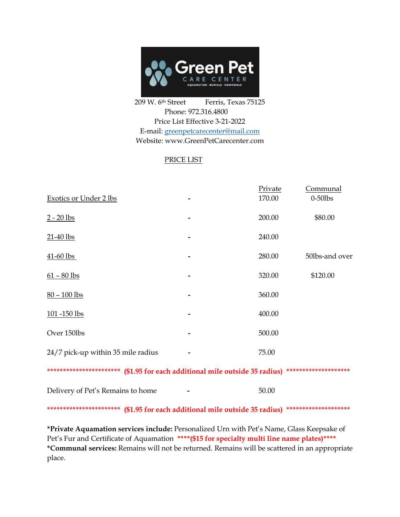

209 W. 6<sup>th</sup> Street Ferris, Texas 75125 Phone: 972.316.4800 Price List Effective 3-21-2022 E-mail: [greenpetcarecenter@mail.com](mailto:greenpetcarecenter@mail.com) Website: www.GreenPetCarecenter.com

## PRICE LIST

| Exotics or Under 2 lbs                                                     | Private<br>170.00                                   | Communal<br>$0-50$ lbs |
|----------------------------------------------------------------------------|-----------------------------------------------------|------------------------|
| $2 - 20$ lbs                                                               | 200.00                                              | \$80.00                |
| $21-40$ lbs                                                                | 240.00                                              |                        |
| $41 - 60$ lbs                                                              | 280.00                                              | 50lbs-and over         |
| $61 - 80$ lbs                                                              | 320.00                                              | \$120.00               |
| $80 - 100$ lbs                                                             | 360.00                                              |                        |
| 101 -150 lbs                                                               | 400.00                                              |                        |
| Over 150lbs                                                                | 500.00                                              |                        |
| 24/7 pick-up within 35 mile radius                                         | 75.00                                               |                        |
| ********************** (\$1.95 for each additional mile outside 35 radius) |                                                     | ********************   |
| Delivery of Pet's Remains to home                                          | 50.00                                               |                        |
| ***********************                                                    | (\$1.95 for each additional mile outside 35 radius) | ********************   |

**\*Private Aquamation services include:** Personalized Urn with Pet's Name, Glass Keepsake of Pet's Fur and Certificate of Aquamation \*\*\*\*(\$15 for specialty multi line name plates)\*\*\*\* **\*Communal services:** Remains will not be returned. Remains will be scattered in an appropriate place.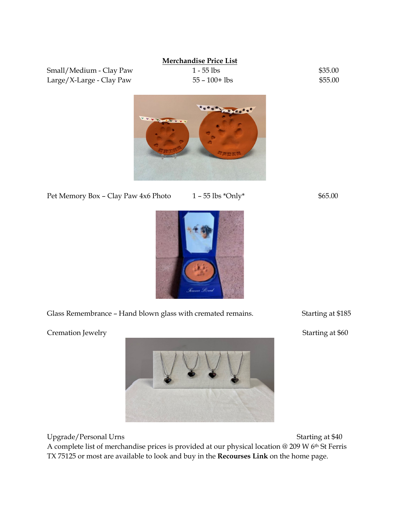### **Merchandise Price List**

Large/X-Large - Clay Paw  $55 - 100 + 1$ bs  $$55.00$ 

Small/Medium - Clay Paw 1 - 55 lbs \$35.00



Pet Memory Box – Clay Paw 4x6 Photo  $1 - 55$  lbs  $*$ Only $*$  \$65.00

Glass Remembrance - Hand blown glass with cremated remains. Starting at \$185

Cremation Jewelry Starting at \$60

Upgrade/Personal Urns Starting at \$40

A complete list of merchandise prices is provided at our physical location @ 209 W 6th St Ferris TX 75125 or most are available to look and buy in the **Recourses Link** on the home page.